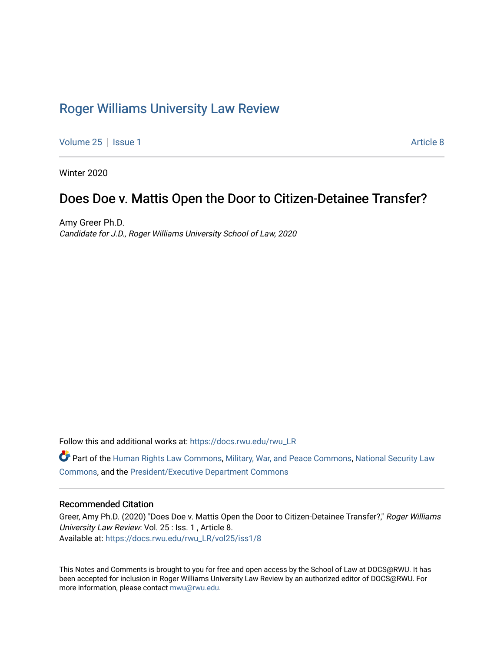# [Roger Williams University Law Review](https://docs.rwu.edu/rwu_LR)

[Volume 25](https://docs.rwu.edu/rwu_LR/vol25) | [Issue 1](https://docs.rwu.edu/rwu_LR/vol25/iss1) Article 8

Winter 2020

## Does Doe v. Mattis Open the Door to Citizen-Detainee Transfer?

Amy Greer Ph.D. Candidate for J.D., Roger Williams University School of Law, 2020

Follow this and additional works at: [https://docs.rwu.edu/rwu\\_LR](https://docs.rwu.edu/rwu_LR?utm_source=docs.rwu.edu%2Frwu_LR%2Fvol25%2Fiss1%2F8&utm_medium=PDF&utm_campaign=PDFCoverPages) 

Part of the [Human Rights Law Commons,](http://network.bepress.com/hgg/discipline/847?utm_source=docs.rwu.edu%2Frwu_LR%2Fvol25%2Fiss1%2F8&utm_medium=PDF&utm_campaign=PDFCoverPages) [Military, War, and Peace Commons](http://network.bepress.com/hgg/discipline/861?utm_source=docs.rwu.edu%2Frwu_LR%2Fvol25%2Fiss1%2F8&utm_medium=PDF&utm_campaign=PDFCoverPages), [National Security Law](http://network.bepress.com/hgg/discipline/1114?utm_source=docs.rwu.edu%2Frwu_LR%2Fvol25%2Fiss1%2F8&utm_medium=PDF&utm_campaign=PDFCoverPages) [Commons](http://network.bepress.com/hgg/discipline/1114?utm_source=docs.rwu.edu%2Frwu_LR%2Fvol25%2Fiss1%2F8&utm_medium=PDF&utm_campaign=PDFCoverPages), and the [President/Executive Department Commons](http://network.bepress.com/hgg/discipline/1118?utm_source=docs.rwu.edu%2Frwu_LR%2Fvol25%2Fiss1%2F8&utm_medium=PDF&utm_campaign=PDFCoverPages) 

## Recommended Citation

Greer, Amy Ph.D. (2020) "Does Doe v. Mattis Open the Door to Citizen-Detainee Transfer?," Roger Williams University Law Review: Vol. 25 : Iss. 1 , Article 8. Available at: [https://docs.rwu.edu/rwu\\_LR/vol25/iss1/8](https://docs.rwu.edu/rwu_LR/vol25/iss1/8?utm_source=docs.rwu.edu%2Frwu_LR%2Fvol25%2Fiss1%2F8&utm_medium=PDF&utm_campaign=PDFCoverPages) 

This Notes and Comments is brought to you for free and open access by the School of Law at DOCS@RWU. It has been accepted for inclusion in Roger Williams University Law Review by an authorized editor of DOCS@RWU. For more information, please contact [mwu@rwu.edu](mailto:mwu@rwu.edu).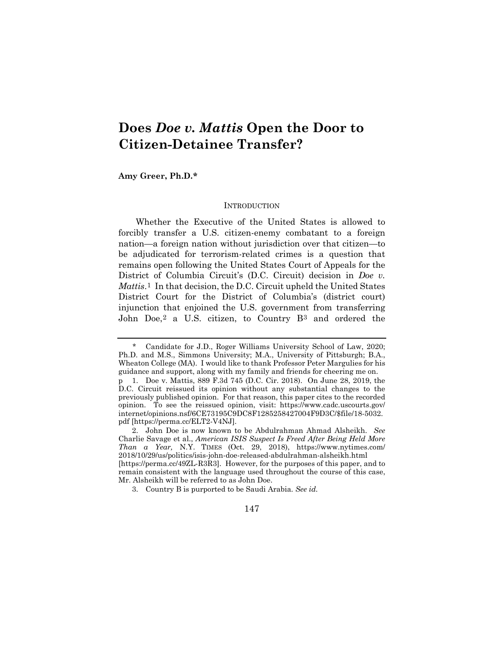# **Does** *Doe v. Mattis* **Open the Door to Citizen-Detainee Transfer?**

## **Amy Greer, Ph.D.[\\*](#page-1-0)**

#### **INTRODUCTION**

Whether the Executive of the United States is allowed to forcibly transfer a U.S. citizen-enemy combatant to a foreign nation—a foreign nation without jurisdiction over that citizen—to be adjudicated for terrorism-related crimes is a question that remains open following the United States Court of Appeals for the District of Columbia Circuit's (D.C. Circuit) decision in *Doe v. Mattis*.[1](#page-1-1) In that decision, the D.C. Circuit upheld the United States District Court for the District of Columbia's (district court) injunction that enjoined the U.S. government from transferring John Doe,<sup>[2](#page-1-2)</sup> a U.S. citizen, to Country B<sup>[3](#page-1-3)</sup> and ordered the

<span id="page-1-0"></span><sup>\*</sup> Candidate for J.D., Roger Williams University School of Law, 2020; Ph.D. and M.S., Simmons University; M.A., University of Pittsburgh; B.A., Wheaton College (MA). I would like to thank Professor Peter Margulies for his guidance and support, along with my family and friends for cheering me on. p 1. Doe v. Mattis, 889 F.3d 745 (D.C. Cir. 2018). On June 28, 2019, the D.C. Circuit reissued its opinion without any substantial changes to the

<span id="page-1-1"></span>previously published opinion. For that reason, this paper cites to the recorded opinion. To see the reissued opinion, visit: https://www.cadc.uscourts.gov/ internet/opinions.nsf/6CE73195C9DC8F1285258427004F9D3C/\$file/18-5032. pdf [https://perma.cc/ELT2-V4NJ].

<span id="page-1-2"></span><sup>2.</sup> John Doe is now known to be Abdulrahman Ahmad Alsheikh. *See* Charlie Savage et al., *American ISIS Suspect Is Freed After Being Held More Than a Year,* N.Y. TIMES (Oct. 29, 2018), https://www.nytimes.com/ 2018/10/29/us/politics/isis-john-doe-released-abdulrahman-alsheikh.html [https://perma.cc/49ZL-R3R3]. However, for the purposes of this paper, and to remain consistent with the language used throughout the course of this case, Mr. Alsheikh will be referred to as John Doe.

<span id="page-1-3"></span><sup>3.</sup> Country B is purported to be Saudi Arabia. *See id.*

<sup>147</sup>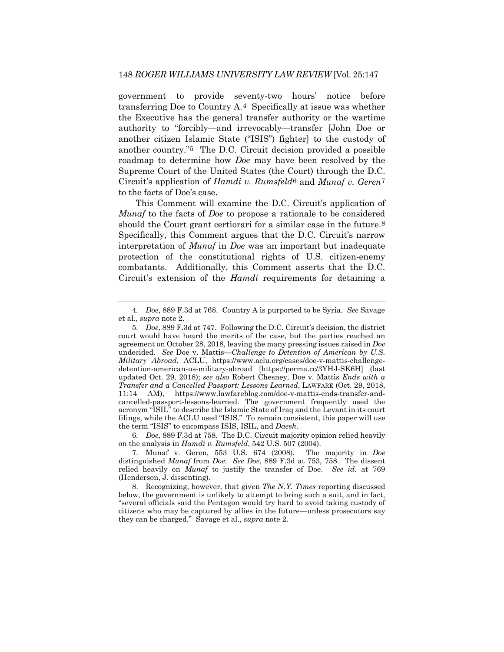government to provide seventy-two hours' notice before transferring Doe to Country A.[4](#page-2-0) Specifically at issue was whether the Executive has the general transfer authority or the wartime authority to "forcibly—and irrevocably—transfer [John Doe or another citizen Islamic State ("ISIS") fighter] to the custody of another country."[5](#page-2-1) The D.C. Circuit decision provided a possible roadmap to determine how *Doe* may have been resolved by the Supreme Court of the United States (the Court) through the D.C. Circuit's application of *Hamdi v. Rumsfeld*[6](#page-2-2) and *Munaf v. Geren*[7](#page-2-3) to the facts of Doe's case.

This Comment will examine the D.C. Circuit's application of *Munaf* to the facts of *Doe* to propose a rationale to be considered should the Court grant certiorari for a similar case in the future.<sup>[8](#page-2-4)</sup> Specifically, this Comment argues that the D.C. Circuit's narrow interpretation of *Munaf* in *Doe* was an important but inadequate protection of the constitutional rights of U.S. citizen-enemy combatants. Additionally, this Comment asserts that the D.C. Circuit's extension of the *Hamdi* requirements for detaining a

<span id="page-2-2"></span>6*. Doe*, 889 F.3d at 758. The D.C. Circuit majority opinion relied heavily on the analysis in *Hamdi v. Rumsfeld*, 542 U.S. 507 (2004).

<span id="page-2-0"></span><sup>4</sup>*. Doe*, 889 F.3d at 768. Country A is purported to be Syria. *See* Savage et al., *supra* note 2.

<span id="page-2-1"></span><sup>5</sup>*. Doe*, 889 F.3d at 747. Following the D.C. Circuit's decision, the district court would have heard the merits of the case, but the parties reached an agreement on October 28, 2018, leaving the many pressing issues raised in *Doe* undecided. *See* Doe v. Mattis—*Challenge to Detention of American by U.S. Military Abroad*, ACLU, https://www.aclu.org/cases/doe-v-mattis-challengedetention-american-us-military-abroad [https://perma.cc/3YHJ-SK6H] (last updated Oct. 29, 2018); *see also* Robert Chesney, Doe v. Mattis *Ends with a Transfer and a Cancelled Passport: Lessons Learned*, LAWFARE (Oct. 29, 2018, 11:14 AM), https://www.lawfareblog.com/doe-v-mattis-ends-transfer-andcancelled-passport-lessons-learned. The government frequently used the acronym "ISIL" to describe the Islamic State of Iraq and the Levant in its court filings, while the ACLU used "ISIS." To remain consistent, this paper will use the term "ISIS" to encompass ISIS, ISIL, and *Daesh.* 

<span id="page-2-3"></span><sup>7.</sup> Munaf v. Geren, 553 U.S. 674 (2008). The majority in *Doe* distinguished *Munaf* from *Doe*. *See Doe*, 889 F.3d at 753, 758. The dissent relied heavily on *Munaf* to justify the transfer of Doe. *See id.* at 769 (Henderson, J. dissenting).

<span id="page-2-4"></span><sup>8.</sup> Recognizing, however, that given *The N.Y. Times* reporting discussed below, the government is unlikely to attempt to bring such a suit, and in fact, "several officials said the Pentagon would try hard to avoid taking custody of citizens who may be captured by allies in the future—unless prosecutors say they can be charged." Savage et al., *supra* note 2.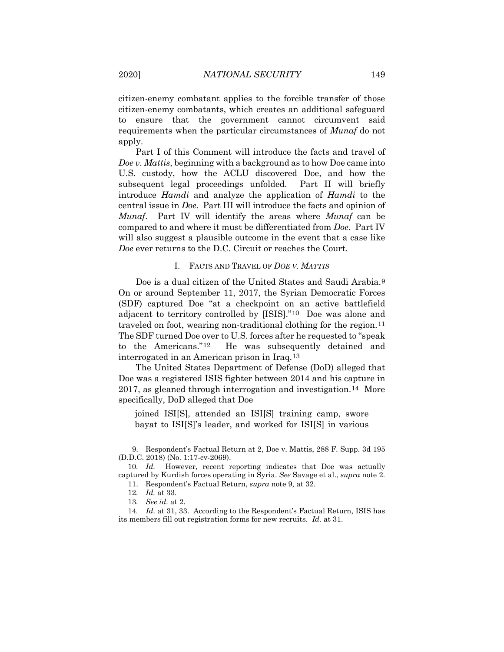citizen-enemy combatant applies to the forcible transfer of those citizen-enemy combatants, which creates an additional safeguard to ensure that the government cannot circumvent said requirements when the particular circumstances of *Munaf* do not apply.

Part I of this Comment will introduce the facts and travel of *Doe v. Mattis*, beginning with a background as to how Doe came into U.S. custody, how the ACLU discovered Doe, and how the subsequent legal proceedings unfolded. Part II will briefly introduce *Hamdi* and analyze the application of *Hamdi* to the central issue in *Doe.* Part III will introduce the facts and opinion of *Munaf*. Part IV will identify the areas where *Munaf* can be compared to and where it must be differentiated from *Doe*.Part IV will also suggest a plausible outcome in the event that a case like *Doe* ever returns to the D.C. Circuit or reaches the Court.

#### I. FACTS AND TRAVEL OF *DOE V. MATTIS*

Doe is a dual citizen of the United States and Saudi Arabia.<sup>[9](#page-3-0)</sup> On or around September 11, 2017, the Syrian Democratic Forces (SDF) captured Doe "at a checkpoint on an active battlefield adjacent to territory controlled by [ISIS]."[10](#page-3-1) Doe was alone and traveled on foot, wearing non-traditional clothing for the region.[11](#page-3-2) The SDF turned Doe over to U.S. forces after he requested to "speak to the Americans."[12](#page-3-3) He was subsequently detained and interrogated in an American prison in Iraq.[13](#page-3-4)

The United States Department of Defense (DoD) alleged that Doe was a registered ISIS fighter between 2014 and his capture in 2017, as gleaned through interrogation and investigation.[14](#page-3-5) More specifically, DoD alleged that Doe

joined ISI[S], attended an ISI[S] training camp, swore bayat to ISI[S]'s leader, and worked for ISI[S] in various

<span id="page-3-0"></span><sup>9.</sup> Respondent's Factual Return at 2, Doe v. Mattis, 288 F. Supp. 3d 195 (D.D.C. 2018) (No. 1:17-cv-2069).

<span id="page-3-2"></span><span id="page-3-1"></span><sup>10</sup>*. Id.* However, recent reporting indicates that Doe was actually captured by Kurdish forces operating in Syria. *See* Savage et al., *supra* note 2. 11. Respondent's Factual Return, *supra* note 9, at 32.

<sup>12</sup>*. Id.* at 33.

<sup>13</sup>*. See id.* at 2*.*

<span id="page-3-5"></span><span id="page-3-4"></span><span id="page-3-3"></span><sup>14</sup>*. Id.* at 31, 33. According to the Respondent's Factual Return, ISIS has its members fill out registration forms for new recruits. *Id.* at 31.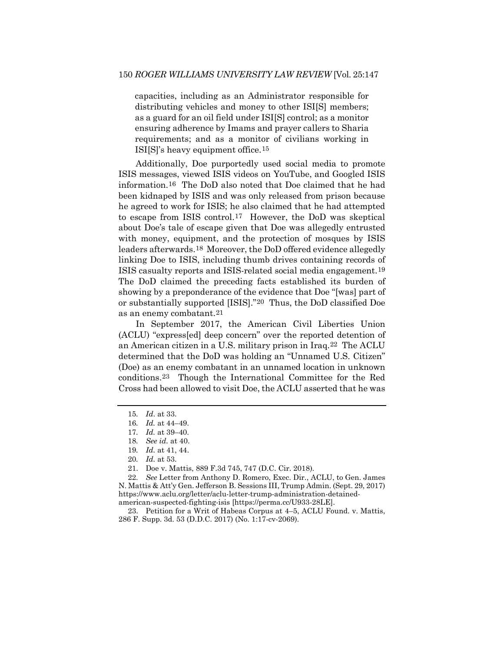capacities, including as an Administrator responsible for distributing vehicles and money to other ISI[S] members; as a guard for an oil field under ISI[S] control; as a monitor ensuring adherence by Imams and prayer callers to Sharia requirements; and as a monitor of civilians working in ISI[S]'s heavy equipment office.[15](#page-4-0)

Additionally, Doe purportedly used social media to promote ISIS messages, viewed ISIS videos on YouTube, and Googled ISIS information.[16](#page-4-1) The DoD also noted that Doe claimed that he had been kidnaped by ISIS and was only released from prison because he agreed to work for ISIS; he also claimed that he had attempted to escape from ISIS control[.17](#page-4-2) However, the DoD was skeptical about Doe's tale of escape given that Doe was allegedly entrusted with money, equipment, and the protection of mosques by ISIS leaders afterwards.[18](#page-4-3) Moreover, the DoD offered evidence allegedly linking Doe to ISIS, including thumb drives containing records of ISIS casualty reports and ISIS-related social media engagement.[19](#page-4-4) The DoD claimed the preceding facts established its burden of showing by a preponderance of the evidence that Doe "[was] part of or substantially supported [ISIS]."[20](#page-4-5) Thus, the DoD classified Doe as an enemy combatant[.21](#page-4-6)

In September 2017, the American Civil Liberties Union (ACLU) "express[ed] deep concern" over the reported detention of an American citizen in a U.S. military prison in Iraq.[22](#page-4-7) The ACLU determined that the DoD was holding an "Unnamed U.S. Citizen" (Doe) as an enemy combatant in an unnamed location in unknown conditions.[23](#page-4-8) Though the International Committee for the Red Cross had been allowed to visit Doe, the ACLU asserted that he was

<span id="page-4-7"></span><span id="page-4-6"></span><span id="page-4-5"></span><span id="page-4-4"></span><span id="page-4-3"></span>22*. See* Letter from Anthony D. Romero, Exec. Dir., ACLU, to Gen. James N. Mattis & Att'y Gen. Jefferson B. Sessions III, Trump Admin. (Sept. 29, 2017) https://www.aclu.org/letter/aclu-letter-trump-administration-detainedamerican-suspected-fighting-isis [https://perma.cc/U933-28LE].

<span id="page-4-8"></span>23. Petition for a Writ of Habeas Corpus at 4–5, ACLU Found. v. Mattis, 286 F. Supp. 3d. 53 (D.D.C. 2017) (No. 1:17-cv-2069).

<sup>15</sup>*. Id*. at 33.

<span id="page-4-2"></span><span id="page-4-1"></span><span id="page-4-0"></span><sup>16</sup>*. Id.* at 44–49.

<sup>17</sup>*. Id.* at 39–40.

<sup>18</sup>*. See id.* at 40.

<sup>19</sup>*. Id.* at 41, 44.

<sup>20</sup>*. Id.* at 53.

<sup>21.</sup> Doe v. Mattis, 889 F.3d 745, 747 (D.C. Cir. 2018).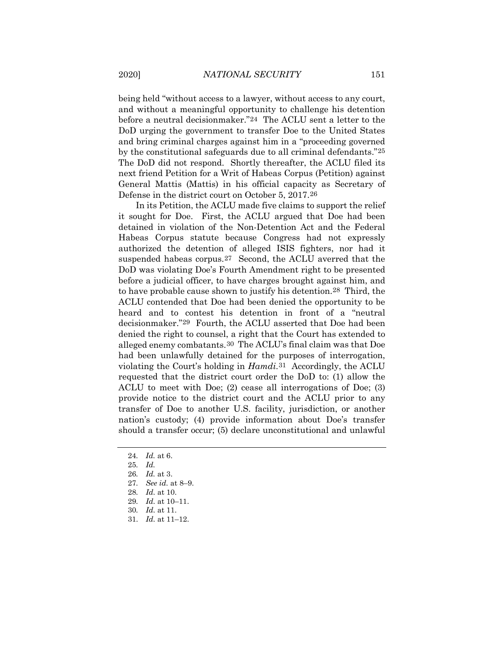being held "without access to a lawyer, without access to any court, and without a meaningful opportunity to challenge his detention before a neutral decisionmaker."[24](#page-5-0) The ACLU sent a letter to the DoD urging the government to transfer Doe to the United States and bring criminal charges against him in a "proceeding governed by the constitutional safeguards due to all criminal defendants."[25](#page-5-1) The DoD did not respond. Shortly thereafter, the ACLU filed its next friend Petition for a Writ of Habeas Corpus (Petition) against General Mattis (Mattis) in his official capacity as Secretary of Defense in the district court on October 5, 2017.[26](#page-5-2) 

In its Petition, the ACLU made five claims to support the relief it sought for Doe. First, the ACLU argued that Doe had been detained in violation of the Non-Detention Act and the Federal Habeas Corpus statute because Congress had not expressly authorized the detention of alleged ISIS fighters, nor had it suspended habeas corpus.[27](#page-5-3) Second, the ACLU averred that the DoD was violating Doe's Fourth Amendment right to be presented before a judicial officer, to have charges brought against him, and to have probable cause shown to justify his detention[.28](#page-5-4) Third, the ACLU contended that Doe had been denied the opportunity to be heard and to contest his detention in front of a "neutral decisionmaker."[29](#page-5-5) Fourth, the ACLU asserted that Doe had been denied the right to counsel, a right that the Court has extended to alleged enemy combatants.[30](#page-5-6) The ACLU's final claim was that Doe had been unlawfully detained for the purposes of interrogation, violating the Court's holding in *Hamdi*.[31](#page-5-7) Accordingly, the ACLU requested that the district court order the DoD to: (1) allow the ACLU to meet with Doe; (2) cease all interrogations of Doe; (3) provide notice to the district court and the ACLU prior to any transfer of Doe to another U.S. facility, jurisdiction, or another nation's custody; (4) provide information about Doe's transfer should a transfer occur; (5) declare unconstitutional and unlawful

<span id="page-5-0"></span><sup>24</sup>*. Id.* at 6.

<span id="page-5-1"></span><sup>25</sup>*. Id.*

<sup>26</sup>*. Id.* at 3.

<sup>27</sup>*. See id.* at 8–9.

<span id="page-5-5"></span><span id="page-5-4"></span><span id="page-5-3"></span><span id="page-5-2"></span><sup>28</sup>*. Id.* at 10.

<sup>29</sup>*. Id.* at 10–11.

<span id="page-5-6"></span><sup>30</sup>*. Id.* at 11.

<span id="page-5-7"></span><sup>31</sup>*. Id.* at 11–12.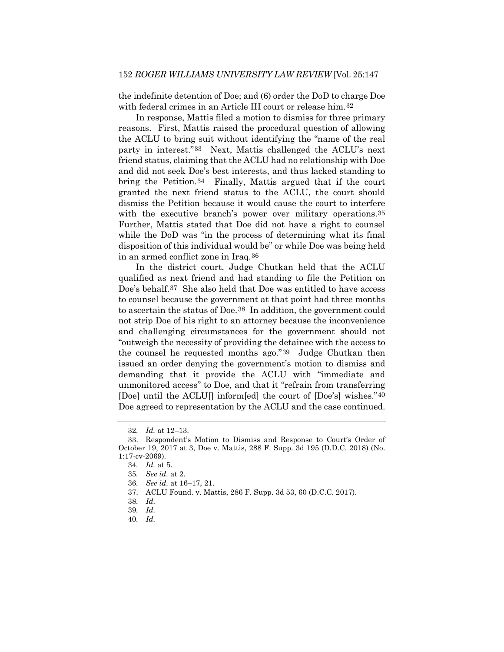the indefinite detention of Doe; and (6) order the DoD to charge Doe with federal crimes in an Article III court or release him.<sup>[32](#page-6-0)</sup>

In response, Mattis filed a motion to dismiss for three primary reasons. First, Mattis raised the procedural question of allowing the ACLU to bring suit without identifying the "name of the real party in interest."[33](#page-6-1) Next, Mattis challenged the ACLU's next friend status, claiming that the ACLU had no relationship with Doe and did not seek Doe's best interests, and thus lacked standing to bring the Petition.[34](#page-6-2) Finally, Mattis argued that if the court granted the next friend status to the ACLU, the court should dismiss the Petition because it would cause the court to interfere with the executive branch's power over military operations.<sup>[35](#page-6-3)</sup> Further, Mattis stated that Doe did not have a right to counsel while the DoD was "in the process of determining what its final disposition of this individual would be" or while Doe was being held in an armed conflict zone in Iraq.[36](#page-6-4)

In the district court, Judge Chutkan held that the ACLU qualified as next friend and had standing to file the Petition on Doe's behalf.[37](#page-6-5) She also held that Doe was entitled to have access to counsel because the government at that point had three months to ascertain the status of Doe.[38](#page-6-6) In addition, the government could not strip Doe of his right to an attorney because the inconvenience and challenging circumstances for the government should not "outweigh the necessity of providing the detainee with the access to the counsel he requested months ago."[39](#page-6-7) Judge Chutkan then issued an order denying the government's motion to dismiss and demanding that it provide the ACLU with "immediate and unmonitored access" to Doe, and that it "refrain from transferring [Doe] until the ACLU[] inform[ed] the court of [Doe's] wishes."[40](#page-6-8) Doe agreed to representation by the ACLU and the case continued.

<sup>32</sup>*. Id.* at 12–13.

<span id="page-6-4"></span><span id="page-6-3"></span><span id="page-6-2"></span><span id="page-6-1"></span><span id="page-6-0"></span><sup>33.</sup> Respondent's Motion to Dismiss and Response to Court's Order of October 19, 2017 at 3, Doe v. Mattis, 288 F. Supp. 3d 195 (D.D.C. 2018) (No. 1:17-cv-2069).

<sup>34</sup>*. Id.* at 5.

<sup>35</sup>*. See id.* at 2.

<sup>36</sup>*. See id.* at 16–17, 21.

<sup>37.</sup> ACLU Found. v. Mattis, 286 F. Supp. 3d 53, 60 (D.C.C. 2017).

<span id="page-6-6"></span><span id="page-6-5"></span><sup>38</sup>*. Id.*

<span id="page-6-8"></span><span id="page-6-7"></span><sup>39</sup>*. Id.*

<sup>40</sup>*. Id.*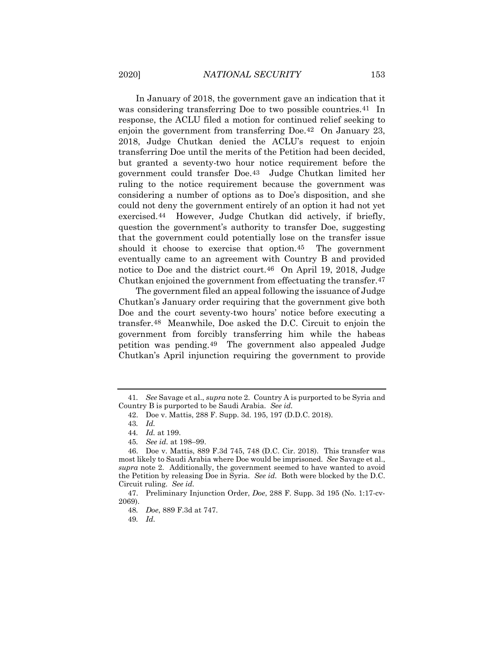In January of 2018, the government gave an indication that it was considering transferring Doe to two possible countries.<sup>41</sup> In response, the ACLU filed a motion for continued relief seeking to enjoin the government from transferring Doe.[42](#page-7-1) On January 23, 2018, Judge Chutkan denied the ACLU's request to enjoin transferring Doe until the merits of the Petition had been decided, but granted a seventy-two hour notice requirement before the government could transfer Doe.[43](#page-7-2) Judge Chutkan limited her ruling to the notice requirement because the government was considering a number of options as to Doe's disposition, and she could not deny the government entirely of an option it had not yet exercised.[44](#page-7-3) However, Judge Chutkan did actively, if briefly, question the government's authority to transfer Doe, suggesting that the government could potentially lose on the transfer issue should it choose to exercise that option.[45](#page-7-4) The government eventually came to an agreement with Country B and provided notice to Doe and the district court.[46](#page-7-5) On April 19, 2018, Judge Chutkan enjoined the government from effectuating the transfer.[47](#page-7-6)

The government filed an appeal following the issuance of Judge Chutkan's January order requiring that the government give both Doe and the court seventy-two hours' notice before executing a transfer.[48](#page-7-7) Meanwhile, Doe asked the D.C. Circuit to enjoin the government from forcibly transferring him while the habeas petition was pending.[49](#page-7-8) The government also appealed Judge Chutkan's April injunction requiring the government to provide

<span id="page-7-1"></span><span id="page-7-0"></span><sup>41</sup>*. See* Savage et al., *supra* note 2. Country A is purported to be Syria and Country B is purported to be Saudi Arabia. *See id.* 

<sup>42.</sup> Doe v. Mattis, 288 F. Supp. 3d. 195, 197 (D.D.C. 2018).

<sup>43</sup>*. Id.*

<sup>44</sup>*. Id.* at 199.

<sup>45</sup>*. See id.* at 198–99.

<span id="page-7-5"></span><span id="page-7-4"></span><span id="page-7-3"></span><span id="page-7-2"></span><sup>46.</sup> Doe v. Mattis, 889 F.3d 745, 748 (D.C. Cir. 2018). This transfer was most likely to Saudi Arabia where Doe would be imprisoned. *See* Savage et al., *supra* note 2. Additionally, the government seemed to have wanted to avoid the Petition by releasing Doe in Syria. *See id.* Both were blocked by the D.C. Circuit ruling. *See id.*

<span id="page-7-8"></span><span id="page-7-7"></span><span id="page-7-6"></span><sup>47.</sup> Preliminary Injunction Order, *Doe*, 288 F. Supp. 3d 195 (No. 1:17-cv-2069).

<sup>48</sup>*. Doe*, 889 F.3d at 747.

<sup>49</sup>*. Id.*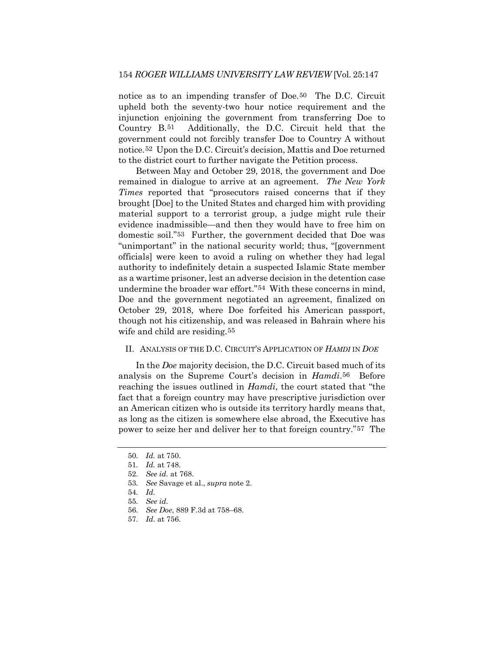notice as to an impending transfer of Doe.[50](#page-8-0) The D.C. Circuit upheld both the seventy-two hour notice requirement and the injunction enjoining the government from transferring Doe to Country B.[51](#page-8-1) Additionally, the D.C. Circuit held that the government could not forcibly transfer Doe to Country A without notice.[52](#page-8-2) Upon the D.C. Circuit's decision, Mattis and Doe returned to the district court to further navigate the Petition process.

Between May and October 29, 2018, the government and Doe remained in dialogue to arrive at an agreement. *The New York Times* reported that "prosecutors raised concerns that if they brought [Doe] to the United States and charged him with providing material support to a terrorist group, a judge might rule their evidence inadmissible—and then they would have to free him on domestic soil."[53](#page-8-3) Further, the government decided that Doe was "unimportant" in the national security world; thus, "[government officials] were keen to avoid a ruling on whether they had legal authority to indefinitely detain a suspected Islamic State member as a wartime prisoner, lest an adverse decision in the detention case undermine the broader war effort."[54](#page-8-4) With these concerns in mind, Doe and the government negotiated an agreement, finalized on October 29, 2018, where Doe forfeited his American passport, though not his citizenship, and was released in Bahrain where his wife and child are residing.<sup>[55](#page-8-5)</sup>

## II. ANALYSIS OF THE D.C. CIRCUIT'S APPLICATION OF *HAMDI* IN *DOE*

In the *Doe* majority decision, the D.C. Circuit based much of its analysis on the Supreme Court's decision in *Hamdi*.[56](#page-8-6) Before reaching the issues outlined in *Hamdi*, the court stated that "the fact that a foreign country may have prescriptive jurisdiction over an American citizen who is outside its territory hardly means that, as long as the citizen is somewhere else abroad, the Executive has power to seize her and deliver her to that foreign country."[57](#page-8-7) The

57*. Id.* at 756.

<span id="page-8-0"></span><sup>50</sup>*. Id.* at 750.

<span id="page-8-1"></span><sup>51</sup>*. Id.* at 748.

<sup>52</sup>*. See id.* at 768.

<span id="page-8-2"></span><sup>53</sup>*. See* Savage et al., *supra* note 2.

<span id="page-8-4"></span><span id="page-8-3"></span><sup>54</sup>*. Id.*

<span id="page-8-7"></span><span id="page-8-6"></span><span id="page-8-5"></span><sup>55</sup>*. See id.*

<sup>56</sup>*. See Doe*, 889 F.3d at 758–68.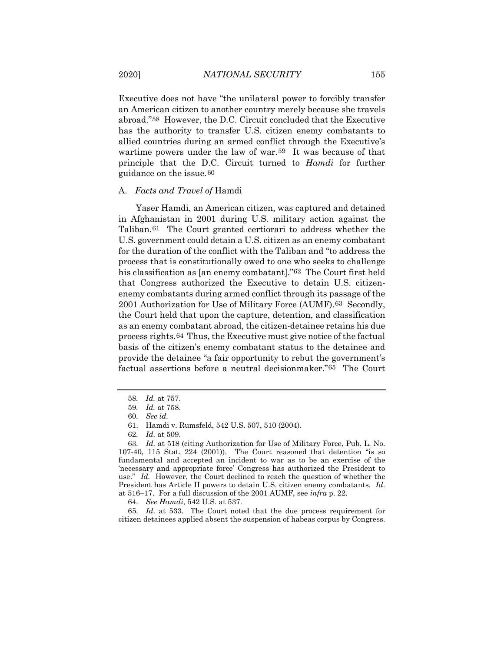Executive does not have "the unilateral power to forcibly transfer an American citizen to another country merely because she travels abroad."[58](#page-9-0) However, the D.C. Circuit concluded that the Executive has the authority to transfer U.S. citizen enemy combatants to allied countries during an armed conflict through the Executive's wartime powers under the law of war.[59](#page-9-1) It was because of that principle that the D.C. Circuit turned to *Hamdi* for further guidance on the issue.[60](#page-9-2)

#### A. *Facts and Travel of* Hamdi

Yaser Hamdi, an American citizen, was captured and detained in Afghanistan in 2001 during U.S. military action against the Taliban.[61](#page-9-3) The Court granted certiorari to address whether the U.S. government could detain a U.S. citizen as an enemy combatant for the duration of the conflict with the Taliban and "to address the process that is constitutionally owed to one who seeks to challenge his classification as [an enemy combatant]."[62](#page-9-4) The Court first held that Congress authorized the Executive to detain U.S. citizenenemy combatants during armed conflict through its passage of the 2001 Authorization for Use of Military Force (AUMF).[63](#page-9-5) Secondly, the Court held that upon the capture, detention, and classification as an enemy combatant abroad, the citizen-detainee retains his due process rights.[64](#page-9-6) Thus, the Executive must give notice of the factual basis of the citizen's enemy combatant status to the detainee and provide the detainee "a fair opportunity to rebut the government's factual assertions before a neutral decisionmaker."[65](#page-9-7) The Court

64*. See Hamdi*, 542 U.S. at 537.

<span id="page-9-7"></span><span id="page-9-6"></span>65*. Id.* at 533. The Court noted that the due process requirement for citizen detainees applied absent the suspension of habeas corpus by Congress.

<sup>58</sup>*. Id.* at 757.

<span id="page-9-0"></span><sup>59</sup>*. Id.* at 758.

<sup>60</sup>*. See id.*

<sup>61.</sup> Hamdi v. Rumsfeld, 542 U.S. 507, 510 (2004).

<sup>62</sup>*. Id.* at 509.

<span id="page-9-5"></span><span id="page-9-4"></span><span id="page-9-3"></span><span id="page-9-2"></span><span id="page-9-1"></span><sup>63</sup>*. Id.* at 518 (citing Authorization for Use of Military Force, Pub. L. No. 107-40, 115 Stat. 224 (2001)). The Court reasoned that detention "is so fundamental and accepted an incident to war as to be an exercise of the 'necessary and appropriate force' Congress has authorized the President to use." *Id.* However, the Court declined to reach the question of whether the President has Article II powers to detain U.S. citizen enemy combatants. *Id*. at 516–17. For a full discussion of the 2001 AUMF, see *infra* p. 22.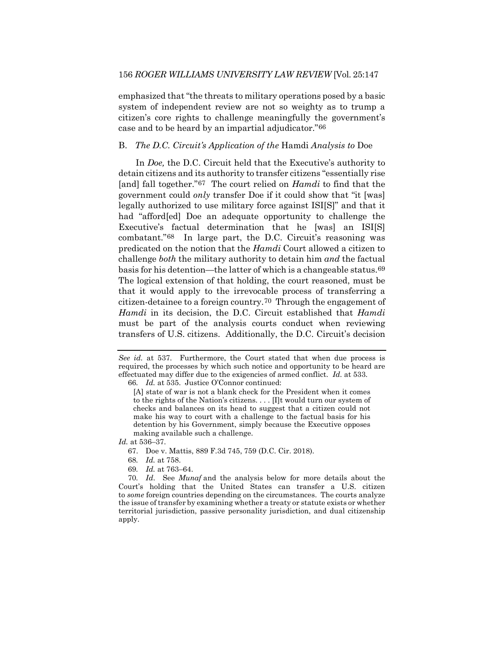emphasized that "the threats to military operations posed by a basic system of independent review are not so weighty as to trump a citizen's core rights to challenge meaningfully the government's case and to be heard by an impartial adjudicator."[66](#page-10-0)

## B. *The D.C. Circuit's Application of the* Hamdi *Analysis to* Doe

In *Doe,* the D.C. Circuit held that the Executive's authority to detain citizens and its authority to transfer citizens "essentially rise [and] fall together."[67](#page-10-1) The court relied on *Hamdi* to find that the government could *only* transfer Doe if it could show that "it [was] legally authorized to use military force against ISI[S]" and that it had "afford[ed] Doe an adequate opportunity to challenge the Executive's factual determination that he [was] an ISI[S] combatant."[68](#page-10-2) In large part, the D.C. Circuit's reasoning was predicated on the notion that the *Hamdi* Court allowed a citizen to challenge *both* the military authority to detain him *and* the factual basis for his detention—the latter of which is a changeable status.[69](#page-10-3) The logical extension of that holding, the court reasoned, must be that it would apply to the irrevocable process of transferring a citizen-detainee to a foreign country.[70](#page-10-4) Through the engagement of *Hamdi* in its decision, the D.C. Circuit established that *Hamdi*  must be part of the analysis courts conduct when reviewing transfers of U.S. citizens. Additionally, the D.C. Circuit's decision

<span id="page-10-2"></span><span id="page-10-1"></span>*Id.* at 536–37.

- 68*. Id.* at 758.
- 69*. Id.* at 763–64.

<span id="page-10-0"></span>*See id.* at 537. Furthermore, the Court stated that when due process is required, the processes by which such notice and opportunity to be heard are effectuated may differ due to the exigencies of armed conflict. *Id.* at 533. 66*. Id.* at 535. Justice O'Connor continued:

<sup>[</sup>A] state of war is not a blank check for the President when it comes to the rights of the Nation's citizens. . . . [I]t would turn our system of checks and balances on its head to suggest that a citizen could not make his way to court with a challenge to the factual basis for his detention by his Government, simply because the Executive opposes making available such a challenge.

<sup>67.</sup> Doe v. Mattis, 889 F.3d 745, 759 (D.C. Cir. 2018).

<span id="page-10-4"></span><span id="page-10-3"></span><sup>70</sup>*. Id*.See *Munaf* and the analysis below for more details about the Court's holding that the United States can transfer a U.S. citizen to *some* foreign countries depending on the circumstances. The courts analyze the issue of transfer by examining whether a treaty or statute exists or whether territorial jurisdiction, passive personality jurisdiction, and dual citizenship apply.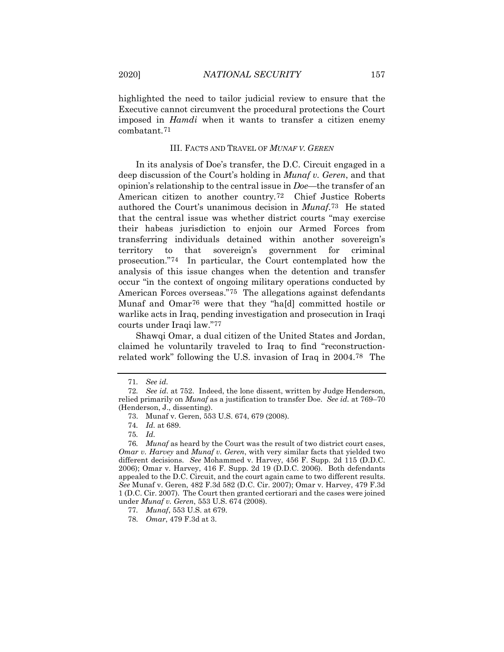highlighted the need to tailor judicial review to ensure that the Executive cannot circumvent the procedural protections the Court imposed in *Hamdi* when it wants to transfer a citizen enemy combatant.[71](#page-11-0)

#### III. FACTS AND TRAVEL OF *MUNAF V. GEREN*

In its analysis of Doe's transfer, the D.C. Circuit engaged in a deep discussion of the Court's holding in *Munaf v. Geren*, and that opinion's relationship to the central issue in *Doe*—the transfer of an American citizen to another country*.*[72](#page-11-1) Chief Justice Roberts authored the Court's unanimous decision in *Munaf*[.73](#page-11-2) He stated that the central issue was whether district courts "may exercise their habeas jurisdiction to enjoin our Armed Forces from transferring individuals detained within another sovereign's territory to that sovereign's government for criminal prosecution."[74](#page-11-3) In particular, the Court contemplated how the analysis of this issue changes when the detention and transfer occur "in the context of ongoing military operations conducted by American Forces overseas."[75](#page-11-4) The allegations against defendants Munaf and Omar[76](#page-11-5) were that they "ha[d] committed hostile or warlike acts in Iraq, pending investigation and prosecution in Iraqi courts under Iraqi law."[77](#page-11-6)

Shawqi Omar, a dual citizen of the United States and Jordan, claimed he voluntarily traveled to Iraq to find "reconstructionrelated work" following the U.S. invasion of Iraq in 2004.[78](#page-11-7) The

<sup>71</sup>*. See id.*

<span id="page-11-2"></span><span id="page-11-1"></span><span id="page-11-0"></span><sup>72</sup>*. See id*. at 752. Indeed, the lone dissent, written by Judge Henderson, relied primarily on *Munaf* as a justification to transfer Doe. *See id.* at 769–70 (Henderson, J., dissenting).

<sup>73.</sup> Munaf v. Geren, 553 U.S. 674, 679 (2008).

<sup>74</sup>*. Id.* at 689.

<sup>75</sup>*. Id.*

<span id="page-11-5"></span><span id="page-11-4"></span><span id="page-11-3"></span><sup>76</sup>*. Munaf* as heard by the Court was the result of two district court cases, *Omar v. Harvey* and *Munaf v. Geren*, with very similar facts that yielded two different decisions. *See* Mohammed v. Harvey, 456 F. Supp. 2d 115 (D.D.C. 2006); Omar v. Harvey, 416 F. Supp. 2d 19 (D.D.C. 2006). Both defendants appealed to the D.C. Circuit, and the court again came to two different results. *See* Munaf v. Geren, 482 F.3d 582 (D.C. Cir. 2007); Omar v. Harvey, 479 F.3d 1 (D.C. Cir. 2007). The Court then granted certiorari and the cases were joined under *Munaf v. Geren*, 553 U.S. 674 (2008).

<sup>77</sup>*. Munaf*, 553 U.S. at 679.

<span id="page-11-7"></span><span id="page-11-6"></span><sup>78</sup>*. Omar*, 479 F.3d at 3.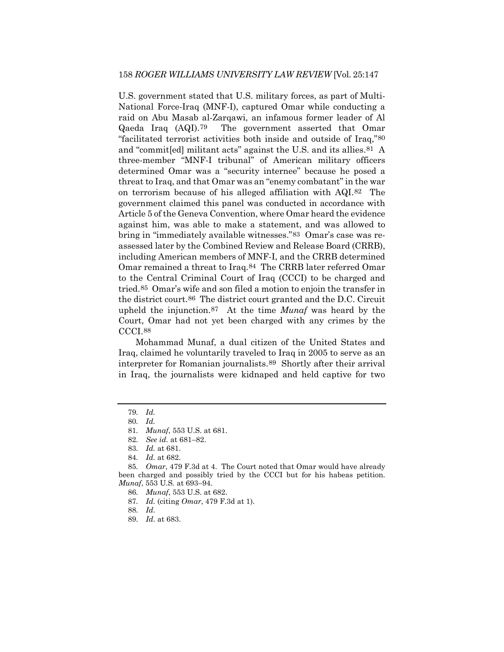U.S. government stated that U.S. military forces, as part of Multi-National Force-Iraq (MNF-I), captured Omar while conducting a raid on Abu Masab al-Zarqawi, an infamous former leader of Al Qaeda Iraq (AQI).[79](#page-12-0) The government asserted that Omar "facilitated terrorist activities both inside and outside of Iraq,"[80](#page-12-1) and "commit[ed] militant acts" against the U.S. and its allies.[81](#page-12-2) A three-member "MNF-I tribunal" of American military officers determined Omar was a "security internee" because he posed a threat to Iraq, and that Omar was an "enemy combatant" in the war on terrorism because of his alleged affiliation with AQI.[82](#page-12-3) The government claimed this panel was conducted in accordance with Article 5 of the Geneva Convention, where Omar heard the evidence against him, was able to make a statement, and was allowed to bring in "immediately available witnesses."[83](#page-12-4) Omar's case was reassessed later by the Combined Review and Release Board (CRRB), including American members of MNF-I, and the CRRB determined Omar remained a threat to Iraq.[84](#page-12-5) The CRRB later referred Omar to the Central Criminal Court of Iraq (CCCI) to be charged and tried.[85](#page-12-6) Omar's wife and son filed a motion to enjoin the transfer in the district court.[86](#page-12-7) The district court granted and the D.C. Circuit upheld the injunction[.87](#page-12-8) At the time *Munaf* was heard by the Court, Omar had not yet been charged with any crimes by the CCCI[.88](#page-12-9)

Mohammad Munaf, a dual citizen of the United States and Iraq, claimed he voluntarily traveled to Iraq in 2005 to serve as an interpreter for Romanian journalists.[89](#page-12-10) Shortly after their arrival in Iraq, the journalists were kidnaped and held captive for two

- 87*. Id.* (citing *Omar*, 479 F.3d at 1).
- <span id="page-12-10"></span>88*. Id.*

<span id="page-12-1"></span><span id="page-12-0"></span><sup>79</sup>*. Id.*

<sup>80</sup>*. Id.*

<sup>81</sup>*. Munaf*, 553 U.S. at 681.

<sup>82</sup>*. See id.* at 681–82.

<sup>83</sup>*. Id.* at 681.

<sup>84</sup>*. Id.* at 682.

<span id="page-12-9"></span><span id="page-12-8"></span><span id="page-12-7"></span><span id="page-12-6"></span><span id="page-12-5"></span><span id="page-12-4"></span><span id="page-12-3"></span><span id="page-12-2"></span><sup>85</sup>*. Omar*, 479 F.3d at 4. The Court noted that Omar would have already been charged and possibly tried by the CCCI but for his habeas petition. *Munaf*, 553 U.S. at 693–94.

<sup>86</sup>*. Munaf*, 553 U.S. at 682.

<sup>89</sup>*. Id.* at 683.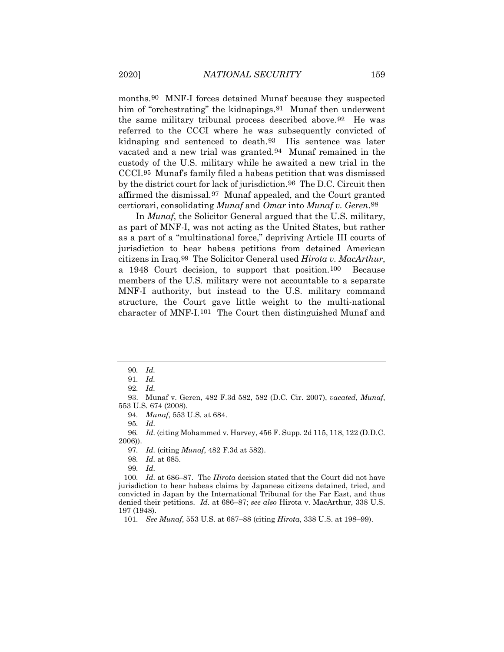months.[90](#page-13-0) MNF-I forces detained Munaf because they suspected him of "orchestrating" the kidnapings.<sup>[91](#page-13-1)</sup> Munaf then underwent the same military tribunal process described above.[92](#page-13-2) He was referred to the CCCI where he was subsequently convicted of kidnaping and sentenced to death.[93](#page-13-3) His sentence was later vacated and a new trial was granted.[94](#page-13-4) Munaf remained in the custody of the U.S. military while he awaited a new trial in the CCCI[.95](#page-13-5) Munaf's family filed a habeas petition that was dismissed by the district court for lack of jurisdiction.[96](#page-13-6) The D.C. Circuit then affirmed the dismissal.[97](#page-13-7) Munaf appealed, and the Court granted certiorari, consolidating *Munaf* and *Omar* into *Munaf v. Geren*.[98](#page-13-8)

In *Munaf*, the Solicitor General argued that the U.S. military, as part of MNF-I, was not acting as the United States, but rather as a part of a "multinational force," depriving Article III courts of jurisdiction to hear habeas petitions from detained American citizens in Iraq.[99](#page-13-9) The Solicitor General used *Hirota v. MacArthur*, a 1948 Court decision, to support that position.[100](#page-13-10) Because members of the U.S. military were not accountable to a separate MNF-I authority, but instead to the U.S. military command structure, the Court gave little weight to the multi-national character of MNF-I.[101](#page-13-11) The Court then distinguished Munaf and

91*. Id.*

<span id="page-13-4"></span><span id="page-13-3"></span><span id="page-13-2"></span><span id="page-13-1"></span><span id="page-13-0"></span>93. Munaf v. Geren, 482 F.3d 582, 582 (D.C. Cir. 2007), *vacated*, *Munaf*, 553 U.S. 674 (2008).

94*. Munaf*, 553 U.S*.* at 684.

95*. Id.*

<span id="page-13-7"></span><span id="page-13-6"></span><span id="page-13-5"></span>96*. Id.* (citing Mohammed v. Harvey, 456 F. Supp. 2d 115, 118, 122 (D.D.C. 2006)).

97*. Id.* (citing *Munaf*, 482 F.3d at 582).

98*. Id.* at 685.

99*. Id.*

<span id="page-13-10"></span><span id="page-13-9"></span><span id="page-13-8"></span>100*. Id.* at 686–87. The *Hirota* decision stated that the Court did not have jurisdiction to hear habeas claims by Japanese citizens detained, tried, and convicted in Japan by the International Tribunal for the Far East, and thus denied their petitions. *Id.* at 686–87; *see also* Hirota v. MacArthur, 338 U.S. 197 (1948).

<span id="page-13-11"></span>101*. See Munaf*, 553 U.S. at 687–88 (citing *Hirota*, 338 U.S. at 198–99).

<sup>90</sup>*. Id.*

<sup>92</sup>*. Id.*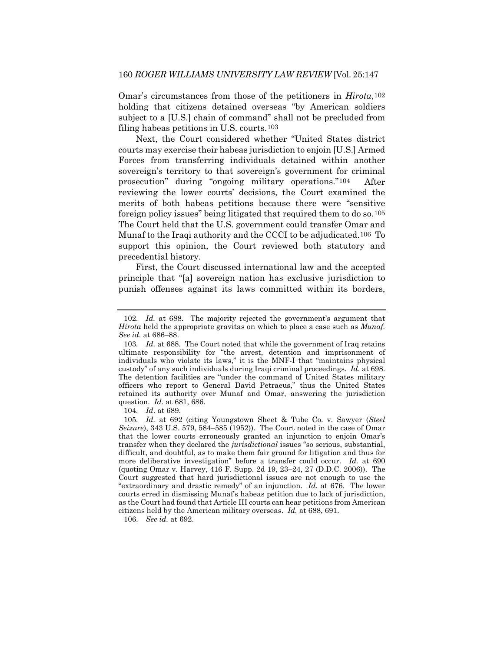Omar's circumstances from those of the petitioners in *Hirota*,[102](#page-14-0) holding that citizens detained overseas "by American soldiers subject to a [U.S.] chain of command" shall not be precluded from filing habeas petitions in U.S. courts.[103](#page-14-1)

Next, the Court considered whether "United States district courts may exercise their habeas jurisdiction to enjoin [U.S.] Armed Forces from transferring individuals detained within another sovereign's territory to that sovereign's government for criminal prosecution" during "ongoing military operations."[104](#page-14-2) After reviewing the lower courts' decisions, the Court examined the merits of both habeas petitions because there were "sensitive foreign policy issues" being litigated that required them to do so.[105](#page-14-3) The Court held that the U.S. government could transfer Omar and Munaf to the Iraqi authority and the CCCI to be adjudicated.[106](#page-14-4) To support this opinion, the Court reviewed both statutory and precedential history.

First, the Court discussed international law and the accepted principle that "[a] sovereign nation has exclusive jurisdiction to punish offenses against its laws committed within its borders,

104*. Id*. at 689.

<span id="page-14-4"></span>106*. See id.* at 692.

<span id="page-14-0"></span><sup>102</sup>*. Id.* at 688. The majority rejected the government's argument that *Hirota* held the appropriate gravitas on which to place a case such as *Munaf. See id.* at 686–88.

<span id="page-14-1"></span><sup>103</sup>*. Id.* at 688. The Court noted that while the government of Iraq retains ultimate responsibility for "the arrest, detention and imprisonment of individuals who violate its laws," it is the MNF-I that "maintains physical custody" of any such individuals during Iraqi criminal proceedings. *Id.* at 698. The detention facilities are "under the command of United States military officers who report to General David Petraeus," thus the United States retained its authority over Munaf and Omar, answering the jurisdiction question. *Id.* at 681, 686.

<span id="page-14-3"></span><span id="page-14-2"></span><sup>105</sup>*. Id.* at 692 (citing Youngstown Sheet & Tube Co. v. Sawyer (*Steel Seizure*), 343 U.S. 579, 584–585 (1952)). The Court noted in the case of Omar that the lower courts erroneously granted an injunction to enjoin Omar's transfer when they declared the *jurisdictional* issues "so serious, substantial, difficult, and doubtful, as to make them fair ground for litigation and thus for more deliberative investigation" before a transfer could occur. *Id.* at 690 (quoting Omar v. Harvey, 416 F. Supp. 2d 19, 23–24, 27 (D.D.C. 2006)). The Court suggested that hard jurisdictional issues are not enough to use the "extraordinary and drastic remedy" of an injunction. *Id.* at 676. The lower courts erred in dismissing Munaf's habeas petition due to lack of jurisdiction, as the Court had found that Article III courts can hear petitions from American citizens held by the American military overseas. *Id.* at 688, 691.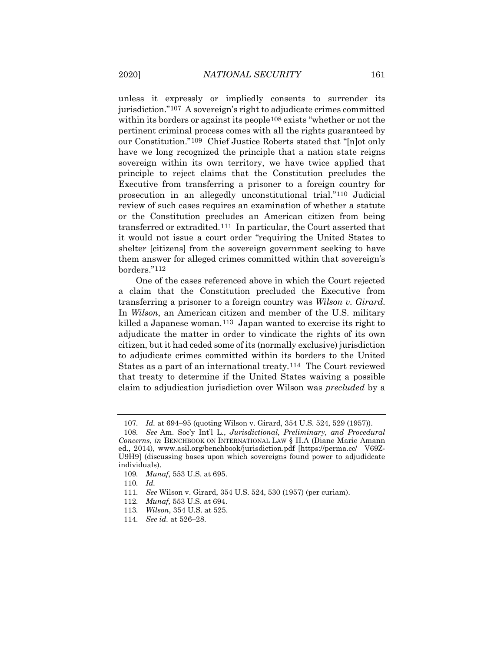unless it expressly or impliedly consents to surrender its jurisdiction."[107](#page-15-0) A sovereign's right to adjudicate crimes committed within its borders or against its people<sup>[108](#page-15-1)</sup> exists "whether or not the pertinent criminal process comes with all the rights guaranteed by our Constitution."[109](#page-15-2) Chief Justice Roberts stated that "[n]ot only have we long recognized the principle that a nation state reigns sovereign within its own territory, we have twice applied that principle to reject claims that the Constitution precludes the Executive from transferring a prisoner to a foreign country for prosecution in an allegedly unconstitutional trial."[110](#page-15-3) Judicial review of such cases requires an examination of whether a statute or the Constitution precludes an American citizen from being transferred or extradited.[111](#page-15-4) In particular, the Court asserted that it would not issue a court order "requiring the United States to shelter [citizens] from the sovereign government seeking to have them answer for alleged crimes committed within that sovereign's borders."[112](#page-15-5)

One of the cases referenced above in which the Court rejected a claim that the Constitution precluded the Executive from transferring a prisoner to a foreign country was *Wilson v. Girard*. In *Wilson*, an American citizen and member of the U.S. military killed a Japanese woman.[113](#page-15-6) Japan wanted to exercise its right to adjudicate the matter in order to vindicate the rights of its own citizen, but it had ceded some of its (normally exclusive) jurisdiction to adjudicate crimes committed within its borders to the United States as a part of an international treaty.[114](#page-15-7) The Court reviewed that treaty to determine if the United States waiving a possible claim to adjudication jurisdiction over Wilson was *precluded* by a

<sup>107</sup>*. Id.* at 694–95 (quoting Wilson v. Girard, 354 U.S. 524, 529 (1957)).

<span id="page-15-1"></span><span id="page-15-0"></span><sup>108</sup>*. See* Am. Soc'y Int'l L., *Jurisdictional, Preliminary, and Procedural Concerns*, *in* BENCHBOOK ON INTERNATIONAL LAW § II.A (Diane Marie Amann ed., 2014), www.asil.org/benchbook/jurisdiction.pdf [https://perma.cc/ V69Z-U9H9] (discussing bases upon which sovereigns found power to adjudidcate individuals).

<span id="page-15-2"></span><sup>109</sup>*. Munaf*, 553 U.S. at 695.

<sup>110</sup>*. Id.*

<span id="page-15-5"></span><span id="page-15-4"></span><span id="page-15-3"></span><sup>111</sup>*. See* Wilson v. Girard, 354 U.S. 524, 530 (1957) (per curiam).

<sup>112</sup>*. Munaf,* 553 U.S. at 694.

<span id="page-15-6"></span><sup>113</sup>*. Wilson*, 354 U.S. at 525.

<span id="page-15-7"></span><sup>114</sup>*. See id.* at 526–28.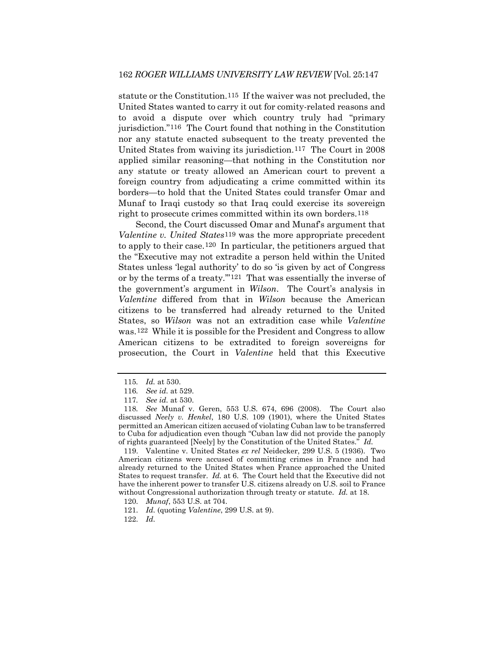statute or the Constitution.[115](#page-16-0) If the waiver was not precluded, the United States wanted to carry it out for comity-related reasons and to avoid a dispute over which country truly had "primary jurisdiction."[116](#page-16-1) The Court found that nothing in the Constitution nor any statute enacted subsequent to the treaty prevented the United States from waiving its jurisdiction.[117](#page-16-2) The Court in 2008 applied similar reasoning—that nothing in the Constitution nor any statute or treaty allowed an American court to prevent a foreign country from adjudicating a crime committed within its borders—to hold that the United States could transfer Omar and Munaf to Iraqi custody so that Iraq could exercise its sovereign right to prosecute crimes committed within its own borders[.118](#page-16-3)

Second, the Court discussed Omar and Munaf's argument that *Valentine v. United States*[119](#page-16-4) was the more appropriate precedent to apply to their case.[120](#page-16-5) In particular, the petitioners argued that the "Executive may not extradite a person held within the United States unless 'legal authority' to do so 'is given by act of Congress or by the terms of a treaty.'"[121](#page-16-6) That was essentially the inverse of the government's argument in *Wilson*. The Court's analysis in *Valentine* differed from that in *Wilson* because the American citizens to be transferred had already returned to the United States, so *Wilson* was not an extradition case while *Valentine* was.[122](#page-16-7) While it is possible for the President and Congress to allow American citizens to be extradited to foreign sovereigns for prosecution, the Court in *Valentine* held that this Executive

<span id="page-16-4"></span>119. Valentine v. United States *ex rel* Neidecker, 299 U.S. 5 (1936). Two American citizens were accused of committing crimes in France and had already returned to the United States when France approached the United States to request transfer. *Id.* at 6. The Court held that the Executive did not have the inherent power to transfer U.S. citizens already on U.S. soil to France without Congressional authorization through treaty or statute. *Id.* at 18.

<span id="page-16-7"></span>122*. Id.*

<sup>115</sup>*. Id.* at 530.

<sup>116</sup>*. See id.* at 529.

<sup>117</sup>*. See id.* at 530.

<span id="page-16-3"></span><span id="page-16-2"></span><span id="page-16-1"></span><span id="page-16-0"></span><sup>118</sup>*. See* Munaf v. Geren, 553 U.S. 674, 696 (2008). The Court also discussed *Neely v. Henkel*, 180 U.S. 109 (1901), where the United States permitted an American citizen accused of violating Cuban law to be transferred to Cuba for adjudication even though "Cuban law did not provide the panoply of rights guaranteed [Neely] by the Constitution of the United States." *Id.*

<span id="page-16-5"></span><sup>120</sup>*. Munaf*, 553 U.S. at 704.

<span id="page-16-6"></span><sup>121</sup>*. Id.* (quoting *Valentine*, 299 U.S. at 9).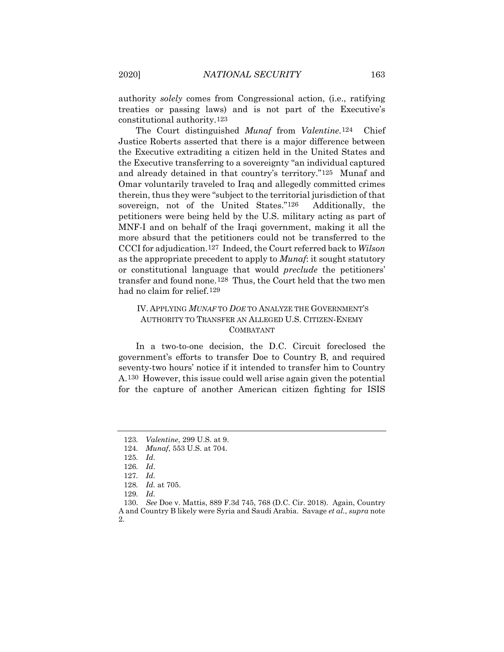authority *solely* comes from Congressional action, (i.e., ratifying treaties or passing laws) and is not part of the Executive's constitutional authority.[123](#page-17-0) 

The Court distinguished *Munaf* from *Valentine*.[124](#page-17-1) Chief Justice Roberts asserted that there is a major difference between the Executive extraditing a citizen held in the United States and the Executive transferring to a sovereignty "an individual captured and already detained in that country's territory."[125](#page-17-2) Munaf and Omar voluntarily traveled to Iraq and allegedly committed crimes therein, thus they were "subject to the territorial jurisdiction of that sovereign, not of the United States.["126](#page-17-3) Additionally, the petitioners were being held by the U.S. military acting as part of MNF-I and on behalf of the Iraqi government, making it all the more absurd that the petitioners could not be transferred to the CCCI for adjudication.[127](#page-17-4) Indeed, the Court referred back to *Wilson*  as the appropriate precedent to apply to *Munaf*: it sought statutory or constitutional language that would *preclude* the petitioners' transfer and found none.[128](#page-17-5) Thus, the Court held that the two men had no claim for relief.[129](#page-17-6)

## IV. APPLYING *MUNAF* TO *DOE* TO ANALYZE THE GOVERNMENT'S AUTHORITY TO TRANSFER AN ALLEGED U.S. CITIZEN-ENEMY COMBATANT

In a two-to-one decision, the D.C. Circuit foreclosed the government's efforts to transfer Doe to Country B, and required seventy-two hours' notice if it intended to transfer him to Country A.[130](#page-17-7) However, this issue could well arise again given the potential for the capture of another American citizen fighting for ISIS

<span id="page-17-0"></span><sup>123</sup>*. Valentine*, 299 U.S. at 9.

<span id="page-17-2"></span><span id="page-17-1"></span><sup>124</sup>*. Munaf*, 553 U.S. at 704.

<sup>125</sup>*. Id*.

<sup>126</sup>*. Id*.

<sup>127</sup>*. Id.*

<sup>128</sup>*. Id.* at 705.

<sup>129</sup>*. Id.*

<span id="page-17-7"></span><span id="page-17-6"></span><span id="page-17-5"></span><span id="page-17-4"></span><span id="page-17-3"></span><sup>130</sup>*. See* Doe v. Mattis, 889 F.3d 745, 768 (D.C. Cir. 2018). Again, Country A and Country B likely were Syria and Saudi Arabia. Savage *et al.*, *supra* note 2.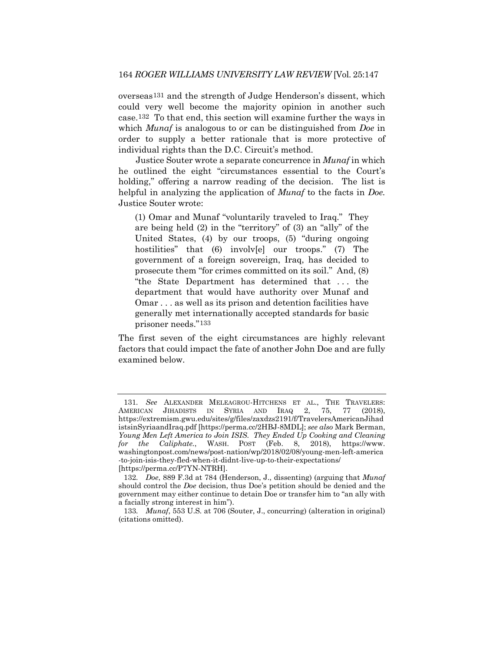overseas[131](#page-18-0) and the strength of Judge Henderson's dissent, which could very well become the majority opinion in another such case.[132](#page-18-1) To that end, this section will examine further the ways in which *Munaf* is analogous to or can be distinguished from *Doe* in order to supply a better rationale that is more protective of individual rights than the D.C. Circuit's method.

Justice Souter wrote a separate concurrence in *Munaf* in which he outlined the eight "circumstances essential to the Court's holding," offering a narrow reading of the decision. The list is helpful in analyzing the application of *Munaf* to the facts in *Doe.*  Justice Souter wrote:

(1) Omar and Munaf "voluntarily traveled to Iraq." They are being held (2) in the "territory" of (3) an "ally" of the United States, (4) by our troops, (5) "during ongoing hostilities" that (6) involv[e] our troops." (7) The government of a foreign sovereign, Iraq, has decided to prosecute them "for crimes committed on its soil." And, (8) "the State Department has determined that . . . the department that would have authority over Munaf and Omar . . . as well as its prison and detention facilities have generally met internationally accepted standards for basic prisoner needs."[133](#page-18-2)

The first seven of the eight circumstances are highly relevant factors that could impact the fate of another John Doe and are fully examined below.

<span id="page-18-0"></span><sup>131</sup>*. See* ALEXANDER MELEAGROU-HITCHENS ET AL., THE TRAVELERS: AMERICAN JIHADISTS IN SYRIA AND IRAQ 2, 75, 77 (2018), https://extremism.gwu.edu/sites/g/files/zaxdzs2191/f/TravelersAmericanJihad istsinSyriaandIraq.pdf [https://perma.cc/2HBJ-8MDL]; *see also* Mark Berman, *Young Men Left America to Join ISIS. They Ended Up Cooking and Cleaning for the Caliphate.*, WASH. POST (Feb. 8, 2018), https://www. washingtonpost.com/news/post-nation/wp/2018/02/08/young-men-left-america -to-join-isis-they-fled-when-it-didnt-live-up-to-their-expectations/ [https://perma.cc/P7YN-NTRH].

<span id="page-18-1"></span><sup>132</sup>*. Doe*, 889 F.3d at 784 (Henderson, J., dissenting) (arguing that *Munaf* should control the *Doe* decision, thus Doe's petition should be denied and the government may either continue to detain Doe or transfer him to "an ally with a facially strong interest in him").

<span id="page-18-2"></span><sup>133</sup>*. Munaf*, 553 U.S*.* at 706 (Souter, J., concurring) (alteration in original) (citations omitted).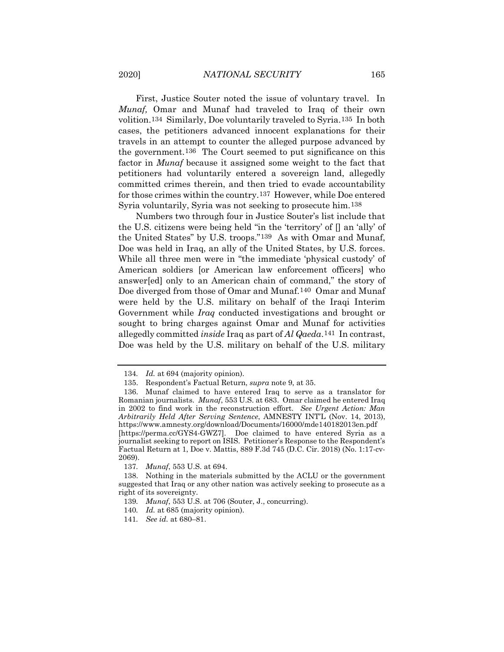First, Justice Souter noted the issue of voluntary travel. In *Munaf,* Omar and Munaf had traveled to Iraq of their own volition.[134](#page-19-0) Similarly, Doe voluntarily traveled to Syria.[135](#page-19-1) In both cases, the petitioners advanced innocent explanations for their travels in an attempt to counter the alleged purpose advanced by the government.[136](#page-19-2) The Court seemed to put significance on this factor in *Munaf* because it assigned some weight to the fact that petitioners had voluntarily entered a sovereign land, allegedly committed crimes therein, and then tried to evade accountability for those crimes within the country.[137](#page-19-3) However, while Doe entered Syria voluntarily, Syria was not seeking to prosecute him.[138](#page-19-4) 

Numbers two through four in Justice Souter's list include that the U.S. citizens were being held "in the 'territory' of [] an 'ally' of the United States" by U.S. troops."[139](#page-19-5) As with Omar and Munaf, Doe was held in Iraq, an ally of the United States, by U.S. forces. While all three men were in "the immediate 'physical custody' of American soldiers [or American law enforcement officers] who answer[ed] only to an American chain of command," the story of Doe diverged from those of Omar and Munaf[.140](#page-19-6) Omar and Munaf were held by the U.S. military on behalf of the Iraqi Interim Government while *Iraq* conducted investigations and brought or sought to bring charges against Omar and Munaf for activities allegedly committed *inside* Iraq as part of *Al Qaeda*.[141](#page-19-7) In contrast, Doe was held by the U.S. military on behalf of the U.S. military

<sup>134</sup>*. Id.* at 694 (majority opinion).

<sup>135.</sup> Respondent's Factual Return, *supra* note 9, at 35.

<span id="page-19-2"></span><span id="page-19-1"></span><span id="page-19-0"></span><sup>136.</sup> Munaf claimed to have entered Iraq to serve as a translator for Romanian journalists. *Munaf*, 553 U.S. at 683. Omar claimed he entered Iraq in 2002 to find work in the reconstruction effort. *See Urgent Action: Man Arbitrarily Held After Serving Sentence*, AMNESTY INT'L (Nov. 14, 2013), https://www.amnesty.org/download/Documents/16000/mde140182013en.pdf [https://perma.cc/GYS4-GWZ7]. Doe claimed to have entered Syria as a journalist seeking to report on ISIS. Petitioner's Response to the Respondent's Factual Return at 1, Doe v. Mattis, 889 F.3d 745 (D.C. Cir. 2018) (No. 1:17-cv-2069).

<sup>137</sup>*. Munaf*, 553 U.S. at 694.

<span id="page-19-6"></span><span id="page-19-5"></span><span id="page-19-4"></span><span id="page-19-3"></span><sup>138.</sup> Nothing in the materials submitted by the ACLU or the government suggested that Iraq or any other nation was actively seeking to prosecute as a right of its sovereignty.

<sup>139</sup>*. Munaf*, 553 U.S. at 706 (Souter, J., concurring).

<sup>140</sup>*. Id.* at 685 (majority opinion).

<span id="page-19-7"></span><sup>141</sup>*. See id.* at 680–81.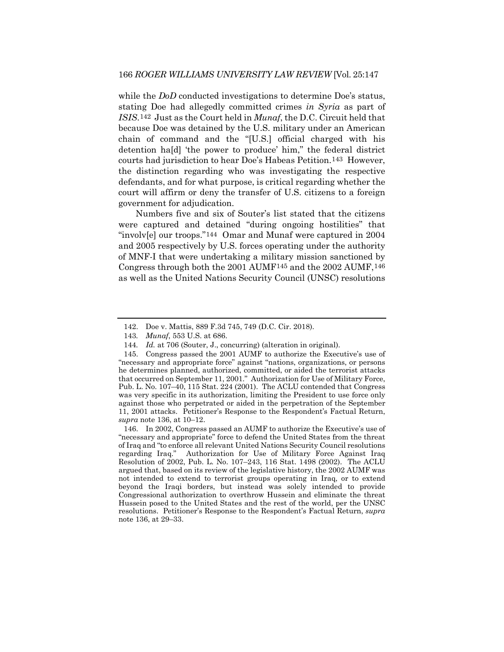while the *DoD* conducted investigations to determine Doe's status, stating Doe had allegedly committed crimes *in Syria* as part of *ISIS*.[142](#page-20-0) Just as the Court held in *Munaf*, the D.C. Circuit held that because Doe was detained by the U.S. military under an American chain of command and the "[U.S.] official charged with his detention ha[d] 'the power to produce' him," the federal district courts had jurisdiction to hear Doe's Habeas Petition.[143](#page-20-1) However, the distinction regarding who was investigating the respective defendants, and for what purpose, is critical regarding whether the court will affirm or deny the transfer of U.S. citizens to a foreign government for adjudication.

Numbers five and six of Souter's list stated that the citizens were captured and detained "during ongoing hostilities" that "involv[e] our troops.["144](#page-20-2) Omar and Munaf were captured in 2004 and 2005 respectively by U.S. forces operating under the authority of MNF-I that were undertaking a military mission sanctioned by Congress through both the 2001 AUMF[145](#page-20-3) and the 2002 AUMF,[146](#page-20-4) as well as the United Nations Security Council (UNSC) resolutions

<sup>142.</sup> Doe v. Mattis, 889 F.3d 745, 749 (D.C. Cir. 2018).

<sup>143</sup>*. Munaf*, 553 U.S. at 686.

<sup>144</sup>*. Id.* at 706 (Souter, J., concurring) (alteration in original).

<span id="page-20-3"></span><span id="page-20-2"></span><span id="page-20-1"></span><span id="page-20-0"></span><sup>145.</sup> Congress passed the 2001 AUMF to authorize the Executive's use of "necessary and appropriate force" against "nations, organizations, or persons he determines planned, authorized, committed, or aided the terrorist attacks that occurred on September 11, 2001." Authorization for Use of Military Force, Pub. L. No. 107–40, 115 Stat. 224 (2001). The ACLU contended that Congress was very specific in its authorization, limiting the President to use force only against those who perpetrated or aided in the perpetration of the September 11, 2001 attacks. Petitioner's Response to the Respondent's Factual Return, *supra* note 136, at 10–12.

<span id="page-20-4"></span><sup>146.</sup> In 2002, Congress passed an AUMF to authorize the Executive's use of "necessary and appropriate" force to defend the United States from the threat of Iraq and "to enforce all relevant United Nations Security Council resolutions regarding Iraq." Authorization for Use of Military Force Against Iraq Resolution of 2002, Pub. L. No. 107–243, 116 Stat. 1498 (2002). The ACLU argued that, based on its review of the legislative history, the 2002 AUMF was not intended to extend to terrorist groups operating in Iraq, or to extend beyond the Iraqi borders, but instead was solely intended to provide Congressional authorization to overthrow Hussein and eliminate the threat Hussein posed to the United States and the rest of the world, per the UNSC resolutions. Petitioner's Response to the Respondent's Factual Return, *supra*  note 136, at 29–33.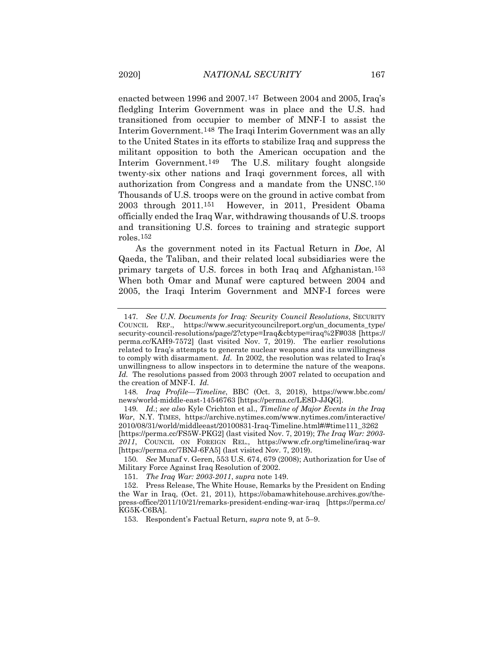enacted between 1996 and 2007.[147](#page-21-0) Between 2004 and 2005, Iraq's fledgling Interim Government was in place and the U.S. had transitioned from occupier to member of MNF-I to assist the Interim Government[.148](#page-21-1) The Iraqi Interim Government was an ally to the United States in its efforts to stabilize Iraq and suppress the militant opposition to both the American occupation and the Interim Government.[149](#page-21-2) The U.S. military fought alongside twenty-six other nations and Iraqi government forces, all with authorization from Congress and a mandate from the UNSC.[150](#page-21-3) Thousands of U.S. troops were on the ground in active combat from 2003 through 2011[.151](#page-21-4) However, in 2011, President Obama officially ended the Iraq War, withdrawing thousands of U.S. troops and transitioning U.S. forces to training and strategic support roles.[152](#page-21-5)

As the government noted in its Factual Return in *Doe*, Al Qaeda, the Taliban, and their related local subsidiaries were the primary targets of U.S. forces in both Iraq and Afghanistan.[153](#page-21-6) When both Omar and Munaf were captured between 2004 and 2005, the Iraqi Interim Government and MNF-I forces were

<span id="page-21-0"></span><sup>147</sup>*. See U.N. Documents for Iraq: Security Council Resolutions*, SECURITY COUNCIL REP., https://www.securitycouncilreport.org/un\_documents\_type/ security-council-resolutions/page/2?ctype=Iraq&cbtype=iraq%2F#038 [https:// perma.cc/KAH9-7572] (last visited Nov. 7, 2019). The earlier resolutions related to Iraq's attempts to generate nuclear weapons and its unwillingness to comply with disarmament. *Id.* In 2002, the resolution was related to Iraq's unwillingness to allow inspectors in to determine the nature of the weapons. *Id.* The resolutions passed from 2003 through 2007 related to occupation and the creation of MNF-I. *Id.*

<span id="page-21-1"></span><sup>148</sup>*. Iraq Profile—Timeline*, BBC (Oct. 3, 2018), https://www.bbc.com/ news/world-middle-east-14546763 [https://perma.cc/LE8D-JJQG].

<span id="page-21-2"></span><sup>149</sup>*. Id.*; *see also* Kyle Crichton et al., *Timeline of Major Events in the Iraq War*, N.Y. TIMES, https://archive.nytimes.com/www.nytimes.com/interactive/ 2010/08/31/world/middleeast/20100831-Iraq-Timeline.html#/#time111\_3262

<sup>[</sup>https://perma.cc/FS5W-PKG2] (last visited Nov. 7, 2019); *The Iraq War: 2003- 2011*, COUNCIL ON FOREIGN REL., https://www.cfr.org/timeline/iraq-war [https://perma.cc/7BNJ-6FA5] (last visited Nov. 7, 2019).

<span id="page-21-3"></span><sup>150</sup>*. See* Munaf v. Geren, 553 U.S. 674, 679 (2008); Authorization for Use of Military Force Against Iraq Resolution of 2002.

<sup>151</sup>*. The Iraq War: 2003-2011*, *supra* note 149.

<span id="page-21-6"></span><span id="page-21-5"></span><span id="page-21-4"></span><sup>152.</sup> Press Release, The White House, Remarks by the President on Ending the War in Iraq, (Oct. 21, 2011), https://obamawhitehouse.archives.gov/thepress-office/2011/10/21/remarks-president-ending-war-iraq [https://perma.cc/ KG5K-C6BA].

<sup>153.</sup> Respondent's Factual Return, *supra* note 9, at 5–9.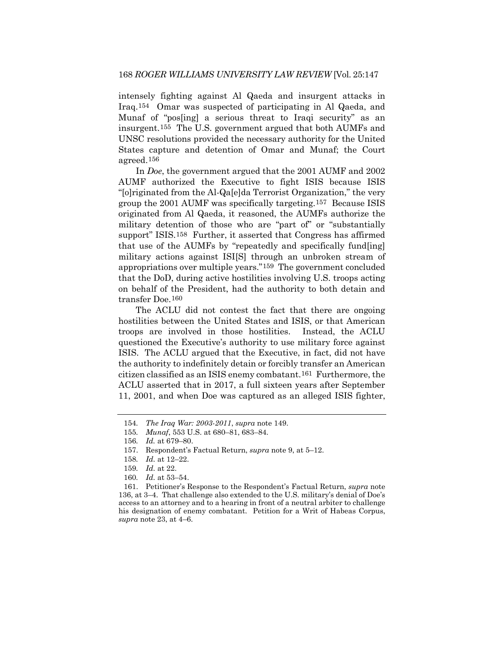intensely fighting against Al Qaeda and insurgent attacks in Iraq.[154](#page-22-0) Omar was suspected of participating in Al Qaeda, and Munaf of "pos[ing] a serious threat to Iraqi security" as an insurgent.[155](#page-22-1) The U.S. government argued that both AUMFs and UNSC resolutions provided the necessary authority for the United States capture and detention of Omar and Munaf; the Court agreed.[156](#page-22-2)

In *Doe*, the government argued that the 2001 AUMF and 2002 AUMF authorized the Executive to fight ISIS because ISIS "[o]riginated from the Al-Qa[e]da Terrorist Organization," the very group the 2001 AUMF was specifically targeting.[157](#page-22-3) Because ISIS originated from Al Qaeda, it reasoned, the AUMFs authorize the military detention of those who are "part of" or "substantially support" ISIS.[158](#page-22-4) Further, it asserted that Congress has affirmed that use of the AUMFs by "repeatedly and specifically fund[ing] military actions against ISI[S] through an unbroken stream of appropriations over multiple years."[159](#page-22-5) The government concluded that the DoD, during active hostilities involving U.S. troops acting on behalf of the President, had the authority to both detain and transfer Doe.[160](#page-22-6)

The ACLU did not contest the fact that there are ongoing hostilities between the United States and ISIS, or that American troops are involved in those hostilities. Instead, the ACLU questioned the Executive's authority to use military force against ISIS. The ACLU argued that the Executive, in fact, did not have the authority to indefinitely detain or forcibly transfer an American citizen classified as an ISIS enemy combatant.[161](#page-22-7) Furthermore, the ACLU asserted that in 2017, a full sixteen years after September 11, 2001, and when Doe was captured as an alleged ISIS fighter,

<span id="page-22-1"></span><span id="page-22-0"></span><sup>154</sup>*. The Iraq War: 2003-2011*, *supra* note 149.

<sup>155</sup>*. Munaf*, 553 U.S. at 680–81, 683–84.

<span id="page-22-2"></span><sup>156</sup>*. Id.* at 679–80.

<span id="page-22-3"></span><sup>157.</sup> Respondent's Factual Return, *supra* note 9, at 5–12.

<sup>158</sup>*. Id.* at 12–22.

<sup>159</sup>*. Id.* at 22.

<sup>160</sup>*. Id.* at 53–54.

<span id="page-22-7"></span><span id="page-22-6"></span><span id="page-22-5"></span><span id="page-22-4"></span><sup>161.</sup> Petitioner's Response to the Respondent's Factual Return, *supra* note 136, at 3–4. That challenge also extended to the U.S. military's denial of Doe's access to an attorney and to a hearing in front of a neutral arbiter to challenge his designation of enemy combatant. Petition for a Writ of Habeas Corpus, *supra* note 23, at 4–6.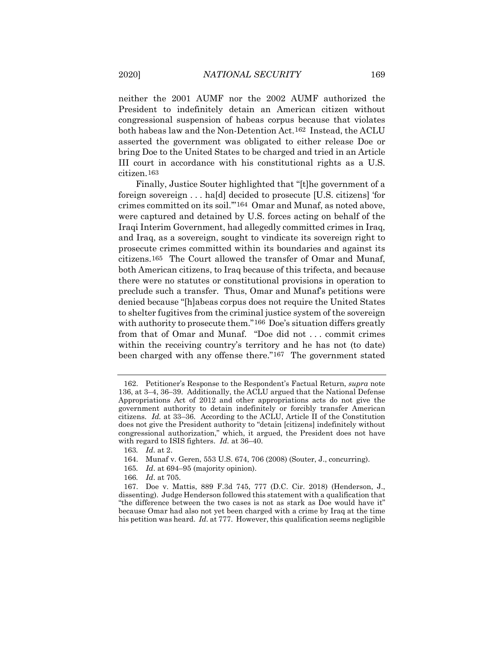neither the 2001 AUMF nor the 2002 AUMF authorized the President to indefinitely detain an American citizen without congressional suspension of habeas corpus because that violates both habeas law and the Non-Detention Act.[162](#page-23-0) Instead, the ACLU asserted the government was obligated to either release Doe or bring Doe to the United States to be charged and tried in an Article III court in accordance with his constitutional rights as a U.S. citizen.[163](#page-23-1)

Finally, Justice Souter highlighted that "[t]he government of a foreign sovereign . . . ha[d] decided to prosecute [U.S. citizens] 'for crimes committed on its soil.'"[164](#page-23-2) Omar and Munaf, as noted above, were captured and detained by U.S. forces acting on behalf of the Iraqi Interim Government, had allegedly committed crimes in Iraq, and Iraq, as a sovereign, sought to vindicate its sovereign right to prosecute crimes committed within its boundaries and against its citizens[.165](#page-23-3) The Court allowed the transfer of Omar and Munaf, both American citizens, to Iraq because of this trifecta, and because there were no statutes or constitutional provisions in operation to preclude such a transfer. Thus, Omar and Munaf's petitions were denied because "[h]abeas corpus does not require the United States to shelter fugitives from the criminal justice system of the sovereign with authority to prosecute them."<sup>[166](#page-23-4)</sup> Doe's situation differs greatly from that of Omar and Munaf. "Doe did not . . . commit crimes within the receiving country's territory and he has not (to date) been charged with any offense there."<sup>[167](#page-23-5)</sup> The government stated

- 165*. Id*. at 694–95 (majority opinion).
- 166*. Id*. at 705.

<span id="page-23-0"></span><sup>162.</sup> Petitioner's Response to the Respondent's Factual Return, *supra* note 136, at 3–4, 36–39. Additionally, the ACLU argued that the National Defense Appropriations Act of 2012 and other appropriations acts do not give the government authority to detain indefinitely or forcibly transfer American citizens. *Id.* at 33–36. According to the ACLU, Article II of the Constitution does not give the President authority to "detain [citizens] indefinitely without congressional authorization," which, it argued, the President does not have with regard to ISIS fighters. *Id.* at 36–40.

<span id="page-23-1"></span><sup>163</sup>*. Id*. at 2.

<sup>164.</sup> Munaf v. Geren, 553 U.S. 674, 706 (2008) (Souter, J., concurring).

<span id="page-23-5"></span><span id="page-23-4"></span><span id="page-23-3"></span><span id="page-23-2"></span><sup>167.</sup> Doe v. Mattis, 889 F.3d 745, 777 (D.C. Cir. 2018) (Henderson, J., dissenting). Judge Henderson followed this statement with a qualification that "the difference between the two cases is not as stark as Doe would have it" because Omar had also not yet been charged with a crime by Iraq at the time his petition was heard. *Id*. at 777. However, this qualification seems negligible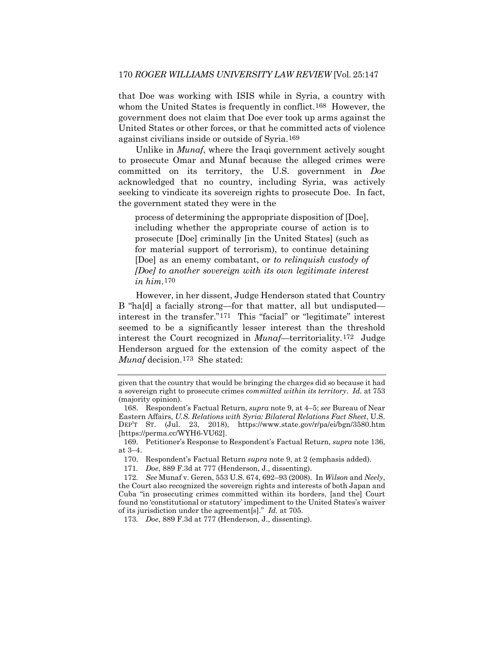that Doe was working with ISIS while in Syria, a country with whom the United States is frequently in conflict.<sup>[168](#page-24-0)</sup> However, the government does not claim that Doe ever took up arms against the United States or other forces, or that he committed acts of violence against civilians inside or outside of Syria.[169](#page-24-1) 

Unlike in *Munaf*, where the Iraqi government actively sought to prosecute Omar and Munaf because the alleged crimes were committed on its territory, the U.S. government in *Doe* acknowledged that no country, including Syria, was actively seeking to vindicate its sovereign rights to prosecute Doe. In fact, the government stated they were in the

process of determining the appropriate disposition of [Doe], including whether the appropriate course of action is to prosecute [Doe] criminally [in the United States] (such as for material support of terrorism), to continue detaining [Doe] as an enemy combatant, or *to relinquish custody of [Doe] to another sovereign with its own legitimate interest in him*.[170](#page-24-2) 

However, in her dissent, Judge Henderson stated that Country B "ha[d] a facially strong—for that matter, all but undisputed interest in the transfer."[171](#page-24-3) This "facial" or "legitimate" interest seemed to be a significantly lesser interest than the threshold interest the Court recognized in *Munaf—*territoriality*.*[172](#page-24-4) Judge Henderson argued for the extension of the comity aspect of the *Munaf* decision.[173](#page-24-5) She stated:

given that the country that would be bringing the charges did so because it had a sovereign right to prosecute crimes *committed within its territory*. *Id.* at 753 (majority opinion).

<span id="page-24-0"></span><sup>168.</sup> Respondent's Factual Return, *supra* note 9, at 4–5; *see* Bureau of Near Eastern Affairs, *U.S. Relations with Syria: Bilateral Relations Fact Sheet*, U.S. DEP'T ST. (Jul. 23, 2018), https://www.state.gov/r/pa/ei/bgn/3580.htm [https://perma.cc/WYH6-VU62].

<span id="page-24-2"></span><span id="page-24-1"></span><sup>169.</sup> Petitioner's Response to Respondent's Factual Return, *supra* note 136, at 3–4.

<sup>170.</sup> Respondent's Factual Return *supra* note 9, at 2 (emphasis added).

<sup>171</sup>*. Doe*, 889 F.3d at 777 (Henderson, J., dissenting).

<span id="page-24-4"></span><span id="page-24-3"></span><sup>172</sup>*. See* Munaf v. Geren, 553 U.S. 674, 692–93 (2008). In *Wilson* and *Neely*, the Court also recognized the sovereign rights and interests of both Japan and Cuba "in prosecuting crimes committed within its borders, [and the] Court found no 'constitutional or statutory' impediment to the United States's waiver of its jurisdiction under the agreement[s]." *Id.* at 705.

<span id="page-24-5"></span><sup>173</sup>*. Doe*, 889 F.3d at 777 (Henderson, J., dissenting).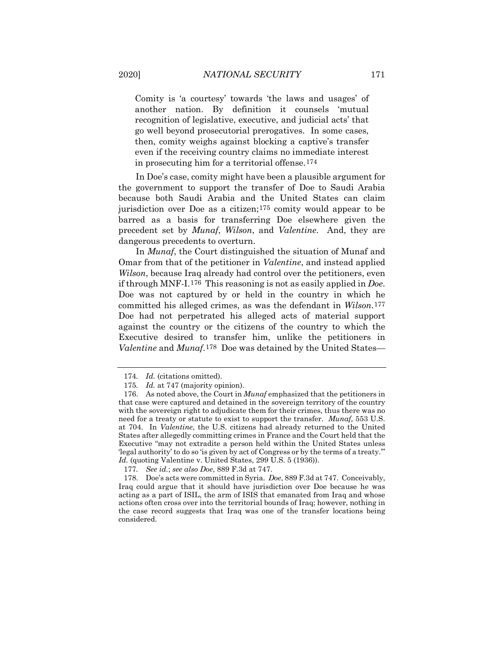Comity is 'a courtesy' towards 'the laws and usages' of another nation. By definition it counsels 'mutual recognition of legislative, executive, and judicial acts' that go well beyond prosecutorial prerogatives. In some cases, then, comity weighs against blocking a captive's transfer even if the receiving country claims no immediate interest in prosecuting him for a territorial offense.[174](#page-25-0)

In Doe's case, comity might have been a plausible argument for the government to support the transfer of Doe to Saudi Arabia because both Saudi Arabia and the United States can claim jurisdiction over Doe as a citizen;[175](#page-25-1) comity would appear to be barred as a basis for transferring Doe elsewhere given the precedent set by *Munaf*, *Wilson*, and *Valentine*. And, they are dangerous precedents to overturn.

In *Munaf*, the Court distinguished the situation of Munaf and Omar from that of the petitioner in *Valentine*, and instead applied *Wilson*, because Iraq already had control over the petitioners, even if through MNF-I.[176](#page-25-2) This reasoning is not as easily applied in *Doe*. Doe was not captured by or held in the country in which he committed his alleged crimes, as was the defendant in *Wilson*.[177](#page-25-3) Doe had not perpetrated his alleged acts of material support against the country or the citizens of the country to which the Executive desired to transfer him, unlike the petitioners in *Valentine* and *Munaf*.[178](#page-25-4) Doe was detained by the United States—

<span id="page-25-4"></span><span id="page-25-3"></span>178. Doe's acts were committed in Syria. *Doe*, 889 F.3d at 747. Conceivably, Iraq could argue that it should have jurisdiction over Doe because he was acting as a part of ISIL, the arm of ISIS that emanated from Iraq and whose actions often cross over into the territorial bounds of Iraq; however, nothing in the case record suggests that Iraq was one of the transfer locations being considered.

<sup>174</sup>*. Id.* (citations omitted).

<sup>175</sup>*. Id.* at 747 (majority opinion).

<span id="page-25-2"></span><span id="page-25-1"></span><span id="page-25-0"></span><sup>176.</sup> As noted above, the Court in *Munaf* emphasized that the petitioners in that case were captured and detained in the sovereign territory of the country with the sovereign right to adjudicate them for their crimes, thus there was no need for a treaty or statute to exist to support the transfer. *Munaf*, 553 U.S. at 704. In *Valentine*, the U.S. citizens had already returned to the United States after allegedly committing crimes in France and the Court held that the Executive "may not extradite a person held within the United States unless 'legal authority' to do so 'is given by act of Congress or by the terms of a treaty.'" *Id.* (quoting Valentine v. United States, 299 U.S. 5 (1936)).

<sup>177</sup>*. See id.*; *see also Doe*, 889 F.3d at 747.